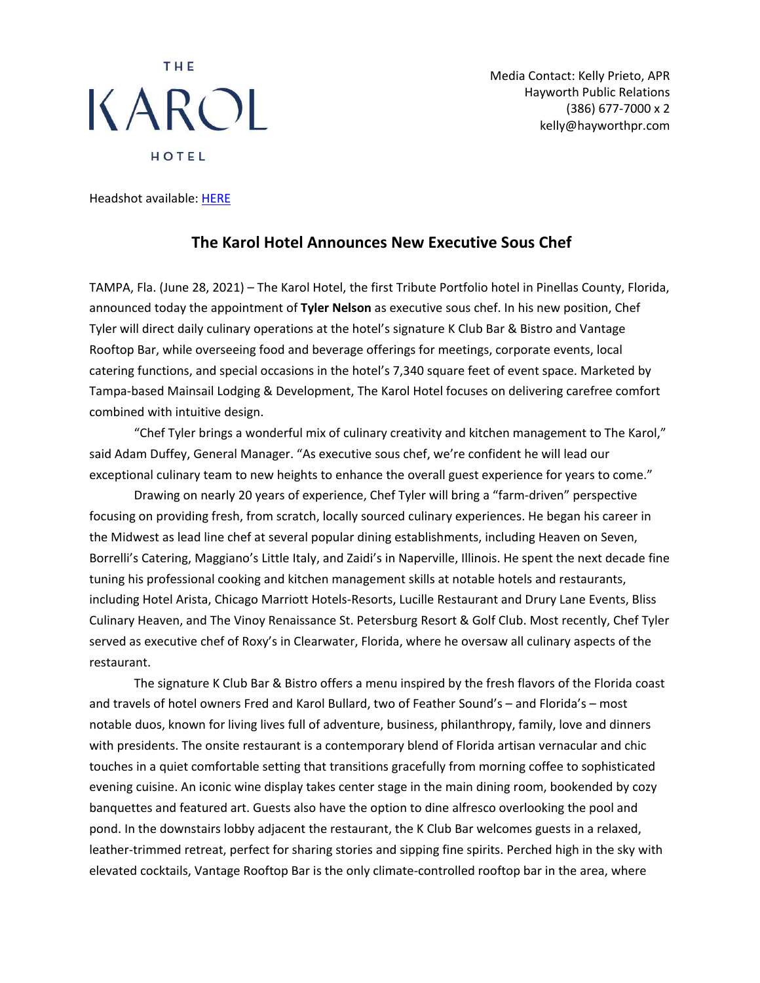## THE KAROL HOTEL

Media Contact: Kelly Prieto, APR Hayworth Public Relations (386) 677-7000 x 2 kelly@hayworthpr.com

Headshot available: [HERE](https://www.dropbox.com/s/cif3xwr6i9o3gi4/Chef%20Tyler%20Nelson.png?dl=0)

## **The Karol Hotel Announces New Executive Sous Chef**

TAMPA, Fla. (June 28, 2021) – The Karol Hotel, the first Tribute Portfolio hotel in Pinellas County, Florida, announced today the appointment of **Tyler Nelson** as executive sous chef. In his new position, Chef Tyler will direct daily culinary operations at the hotel's signature K Club Bar & Bistro and Vantage Rooftop Bar, while overseeing food and beverage offerings for meetings, corporate events, local catering functions, and special occasions in the hotel's 7,340 square feet of event space. Marketed by Tampa-based Mainsail Lodging & Development, The Karol Hotel focuses on delivering carefree comfort combined with intuitive design.

"Chef Tyler brings a wonderful mix of culinary creativity and kitchen management to The Karol," said Adam Duffey, General Manager. "As executive sous chef, we're confident he will lead our exceptional culinary team to new heights to enhance the overall guest experience for years to come."

Drawing on nearly 20 years of experience, Chef Tyler will bring a "farm-driven" perspective focusing on providing fresh, from scratch, locally sourced culinary experiences. He began his career in the Midwest as lead line chef at several popular dining establishments, including Heaven on Seven, Borrelli's Catering, Maggiano's Little Italy, and Zaidi's in Naperville, Illinois. He spent the next decade fine tuning his professional cooking and kitchen management skills at notable hotels and restaurants, including Hotel Arista, Chicago Marriott Hotels-Resorts, Lucille Restaurant and Drury Lane Events, Bliss Culinary Heaven, and The Vinoy Renaissance St. Petersburg Resort & Golf Club. Most recently, Chef Tyler served as executive chef of Roxy's in Clearwater, Florida, where he oversaw all culinary aspects of the restaurant.

The signature K Club Bar & Bistro offers a menu inspired by the fresh flavors of the Florida coast and travels of hotel owners Fred and Karol Bullard, two of Feather Sound's – and Florida's – most notable duos, known for living lives full of adventure, business, philanthropy, family, love and dinners with presidents. The onsite restaurant is a contemporary blend of Florida artisan vernacular and chic touches in a quiet comfortable setting that transitions gracefully from morning coffee to sophisticated evening cuisine. An iconic wine display takes center stage in the main dining room, bookended by cozy banquettes and featured art. Guests also have the option to dine alfresco overlooking the pool and pond. In the downstairs lobby adjacent the restaurant, the K Club Bar welcomes guests in a relaxed, leather-trimmed retreat, perfect for sharing stories and sipping fine spirits. Perched high in the sky with elevated cocktails, Vantage Rooftop Bar is the only climate-controlled rooftop bar in the area, where